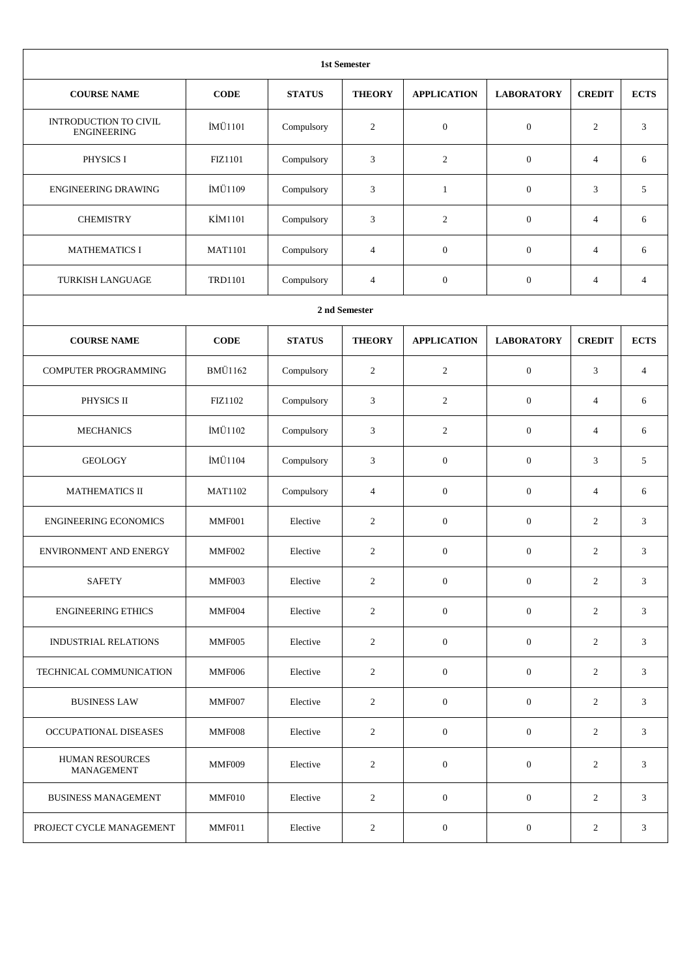| <b>1st Semester</b>                         |                |               |                  |                    |                   |                  |                |  |  |
|---------------------------------------------|----------------|---------------|------------------|--------------------|-------------------|------------------|----------------|--|--|
| <b>COURSE NAME</b>                          | <b>CODE</b>    | <b>STATUS</b> | <b>THEORY</b>    | <b>APPLICATION</b> | <b>LABORATORY</b> | <b>CREDIT</b>    | <b>ECTS</b>    |  |  |
| INTRODUCTION TO CIVIL<br><b>ENGINEERING</b> | İMÜ1101        | Compulsory    | 2                | $\boldsymbol{0}$   | $\mathbf{0}$      | 2                | 3              |  |  |
| PHYSICS I                                   | <b>FIZ1101</b> | Compulsory    | 3                | 2                  | $\boldsymbol{0}$  | $\overline{4}$   | 6              |  |  |
| <b>ENGINEERING DRAWING</b>                  | İMÜ1109        | Compulsory    | 3                | $\mathbf{1}$       | $\boldsymbol{0}$  | 3                | 5              |  |  |
| <b>CHEMISTRY</b>                            | KİM1101        | Compulsory    | 3                | $\overline{c}$     | $\boldsymbol{0}$  | $\overline{4}$   | 6              |  |  |
| <b>MATHEMATICS I</b>                        | <b>MAT1101</b> | Compulsory    | $\overline{4}$   | $\mathbf{0}$       | $\boldsymbol{0}$  | $\overline{4}$   | 6              |  |  |
| TURKISH LANGUAGE                            | <b>TRD1101</b> | Compulsory    | $\overline{4}$   | $\boldsymbol{0}$   | $\boldsymbol{0}$  | $\overline{4}$   | $\overline{4}$ |  |  |
|                                             |                |               | 2 nd Semester    |                    |                   |                  |                |  |  |
| <b>COURSE NAME</b>                          | <b>CODE</b>    | <b>STATUS</b> | <b>THEORY</b>    | <b>APPLICATION</b> | <b>LABORATORY</b> | <b>CREDIT</b>    | <b>ECTS</b>    |  |  |
| COMPUTER PROGRAMMING                        | <b>BMÜ1162</b> | Compulsory    | $\overline{2}$   | $\overline{c}$     | $\boldsymbol{0}$  | 3                | $\overline{4}$ |  |  |
| PHYSICS II                                  | FIZ1102        | Compulsory    | 3                | 2                  | $\boldsymbol{0}$  | 4                | 6              |  |  |
| <b>MECHANICS</b>                            | İMÜ1102        | Compulsory    | 3                | $\overline{2}$     | $\boldsymbol{0}$  | $\overline{4}$   | 6              |  |  |
| <b>GEOLOGY</b>                              | İMÜ1104        | Compulsory    | 3                | $\mathbf{0}$       | $\mathbf{0}$      | 3                | 5              |  |  |
| <b>MATHEMATICS II</b>                       | <b>MAT1102</b> | Compulsory    | 4                | $\boldsymbol{0}$   | $\boldsymbol{0}$  | 4                | 6              |  |  |
| <b>ENGINEERING ECONOMICS</b>                | MMF001         | Elective      | $\boldsymbol{2}$ | $\boldsymbol{0}$   | $\boldsymbol{0}$  | $\sqrt{2}$       | 3              |  |  |
| ENVIRONMENT AND ENERGY                      | MMF002         | Elective      | $\overline{c}$   | $\mathbf{0}$       | $\mathbf{0}$      | 2                | 3              |  |  |
| <b>SAFETY</b>                               | MMF003         | Elective      | 2                | $\boldsymbol{0}$   | $\boldsymbol{0}$  | 2                | 3              |  |  |
| <b>ENGINEERING ETHICS</b>                   | MMF004         | Elective      | $\overline{2}$   | $\mathbf{0}$       | $\mathbf{0}$      | 2                | 3              |  |  |
| <b>INDUSTRIAL RELATIONS</b>                 | MMF005         | Elective      | $\overline{2}$   | $\mathbf{0}$       | $\mathbf{0}$      | 2                | 3              |  |  |
| TECHNICAL COMMUNICATION                     | MMF006         | Elective      | 2                | $\boldsymbol{0}$   | $\mathbf{0}$      | $\overline{2}$   | 3              |  |  |
| <b>BUSINESS LAW</b>                         | MMF007         | Elective      | 2                | $\boldsymbol{0}$   | $\mathbf{0}$      | 2                | 3              |  |  |
| OCCUPATIONAL DISEASES                       | MMF008         | Elective      | 2                | $\mathbf{0}$       | $\boldsymbol{0}$  | 2                | 3              |  |  |
| <b>HUMAN RESOURCES</b><br>MANAGEMENT        | MMF009         | Elective      | $\overline{2}$   | $\boldsymbol{0}$   | $\mathbf{0}$      | $\overline{2}$   | 3              |  |  |
| <b>BUSINESS MANAGEMENT</b>                  | MMF010         | Elective      | 2                | $\boldsymbol{0}$   | $\boldsymbol{0}$  | $\overline{2}$   | 3              |  |  |
| PROJECT CYCLE MANAGEMENT                    | MMF011         | Elective      | $\overline{c}$   | $\boldsymbol{0}$   | $\mathbf{0}$      | $\boldsymbol{2}$ | 3              |  |  |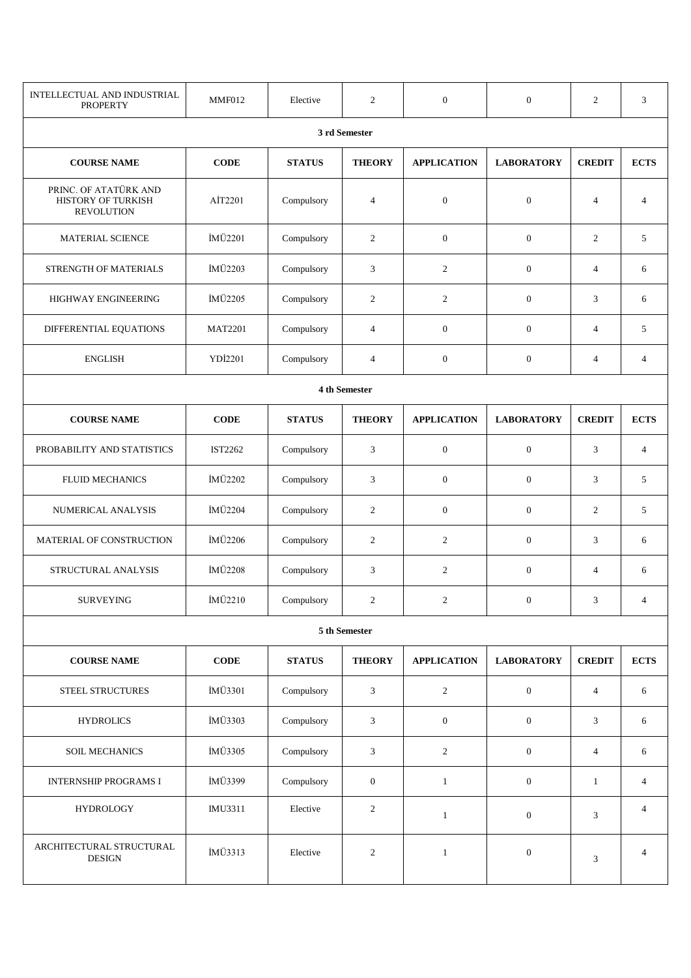| INTELLECTUAL AND INDUSTRIAL<br><b>PROPERTY</b>                   | MMF012         | Elective      | 2                | $\mathbf{0}$       | $\overline{0}$    | $\overline{c}$ | 3              |  |  |  |
|------------------------------------------------------------------|----------------|---------------|------------------|--------------------|-------------------|----------------|----------------|--|--|--|
|                                                                  |                |               | 3 rd Semester    |                    |                   |                |                |  |  |  |
| <b>COURSE NAME</b>                                               | $CODE$         | <b>STATUS</b> | <b>THEORY</b>    | <b>APPLICATION</b> | <b>LABORATORY</b> | <b>CREDIT</b>  | <b>ECTS</b>    |  |  |  |
| PRINC. OF ATATÜRK AND<br>HISTORY OF TURKISH<br><b>REVOLUTION</b> | AİT2201        | Compulsory    | $\overline{4}$   | $\overline{0}$     | $\boldsymbol{0}$  | $\overline{4}$ | $\overline{4}$ |  |  |  |
| <b>MATERIAL SCIENCE</b>                                          | İMÜ2201        | Compulsory    | $\overline{c}$   | $\mathbf{0}$       | $\mathbf{0}$      | $\overline{c}$ | 5              |  |  |  |
| STRENGTH OF MATERIALS                                            | İMÜ2203        | Compulsory    | 3                | $\overline{2}$     | $\mathbf{0}$      | $\overline{4}$ | 6              |  |  |  |
| HIGHWAY ENGINEERING                                              | İMÜ2205        | Compulsory    | 2                | $\overline{2}$     | $\mathbf{0}$      | 3              | 6              |  |  |  |
| DIFFERENTIAL EQUATIONS                                           | <b>MAT2201</b> | Compulsory    | $\overline{4}$   | $\mathbf{0}$       | $\mathbf{0}$      | $\overline{4}$ | 5              |  |  |  |
| <b>ENGLISH</b>                                                   | YDİ2201        | Compulsory    | $\overline{4}$   | $\mathbf{0}$       | $\boldsymbol{0}$  | $\overline{4}$ | $\overline{4}$ |  |  |  |
|                                                                  | 4 th Semester  |               |                  |                    |                   |                |                |  |  |  |
| <b>COURSE NAME</b>                                               | <b>CODE</b>    | <b>STATUS</b> | <b>THEORY</b>    | <b>APPLICATION</b> | <b>LABORATORY</b> | <b>CREDIT</b>  | <b>ECTS</b>    |  |  |  |
| PROBABILITY AND STATISTICS                                       | IST2262        | Compulsory    | 3                | $\mathbf{0}$       | $\boldsymbol{0}$  | 3              | $\overline{4}$ |  |  |  |
| <b>FLUID MECHANICS</b>                                           | İMÜ2202        | Compulsory    | 3                | $\mathbf{0}$       | $\boldsymbol{0}$  | 3              | 5              |  |  |  |
| NUMERICAL ANALYSIS                                               | İMÜ2204        | Compulsory    | $\overline{c}$   | $\mathbf{0}$       | $\mathbf{0}$      | 2              | 5              |  |  |  |
| MATERIAL OF CONSTRUCTION                                         | İMÜ2206        | Compulsory    | $\overline{2}$   | $\overline{c}$     | $\boldsymbol{0}$  | 3              | 6              |  |  |  |
| STRUCTURAL ANALYSIS                                              | İMÜ2208        | Compulsory    | 3                | 2                  | $\theta$          | $\overline{4}$ | 6              |  |  |  |
| SURVEYING                                                        | İMÜ2210        | Compulsory    | $\overline{2}$   | $\overline{2}$     | $\overline{0}$    | 3              | $\overline{4}$ |  |  |  |
|                                                                  |                |               | 5 th Semester    |                    |                   |                |                |  |  |  |
| <b>COURSE NAME</b>                                               | $CODE$         | <b>STATUS</b> | <b>THEORY</b>    | <b>APPLICATION</b> | <b>LABORATORY</b> | <b>CREDIT</b>  | <b>ECTS</b>    |  |  |  |
| STEEL STRUCTURES                                                 | İMÜ3301        | Compulsory    | $\mathfrak{Z}$   | $\sqrt{2}$         | $\boldsymbol{0}$  | $\overline{4}$ | 6              |  |  |  |
| <b>HYDROLICS</b>                                                 | İMÜ3303        | Compulsory    | 3                | $\boldsymbol{0}$   | $\mathbf{0}$      | 3              | 6              |  |  |  |
| <b>SOIL MECHANICS</b>                                            | İMÜ3305        | Compulsory    | $\mathfrak{Z}$   | $\overline{2}$     | $\boldsymbol{0}$  | $\overline{4}$ | 6              |  |  |  |
| <b>INTERNSHIP PROGRAMS I</b>                                     | İMÜ3399        | Compulsory    | $\boldsymbol{0}$ | $\mathbf{1}$       | $\boldsymbol{0}$  | $\mathbf{1}$   | $\overline{4}$ |  |  |  |
| <b>HYDROLOGY</b>                                                 | IMU3311        | Elective      | $\overline{c}$   | $\mathbf{1}$       | $\mathbf{0}$      | 3              | $\overline{4}$ |  |  |  |
| ARCHITECTURAL STRUCTURAL<br><b>DESIGN</b>                        | İMÜ3313        | Elective      | $\overline{c}$   | $\mathbf{1}$       | $\boldsymbol{0}$  | 3              | $\overline{4}$ |  |  |  |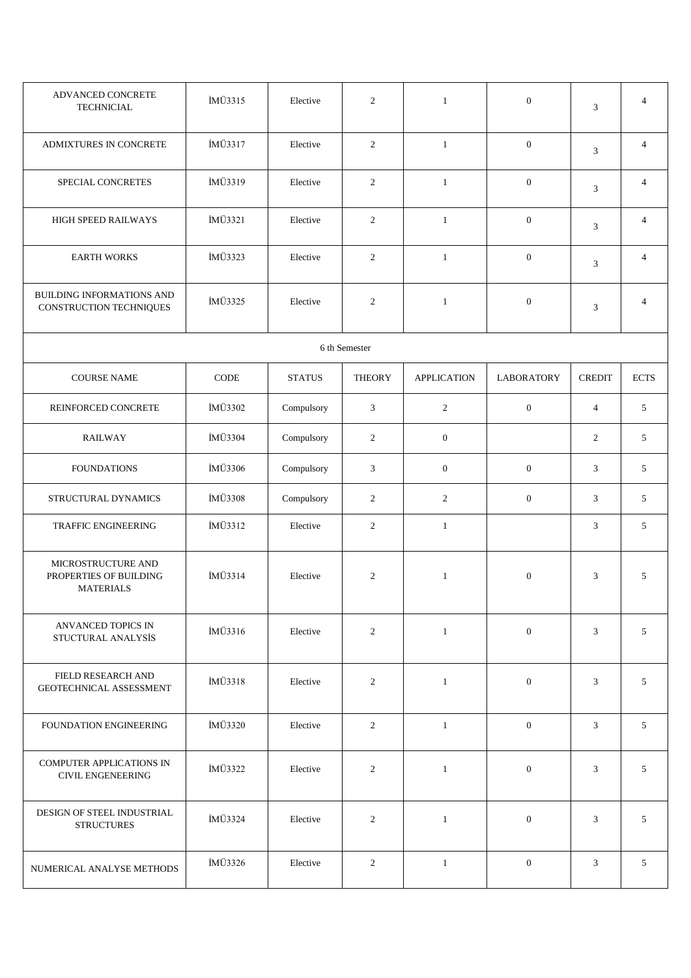| ADVANCED CONCRETE<br><b>TECHNICIAL</b>                           | İMÜ3315     | Elective      | $\overline{2}$ | $\mathbf{1}$       | $\overline{0}$    | $\mathfrak{Z}$ | $\overline{4}$ |
|------------------------------------------------------------------|-------------|---------------|----------------|--------------------|-------------------|----------------|----------------|
| ADMIXTURES IN CONCRETE                                           | İMÜ3317     | Elective      | 2              | $\mathbf{1}$       | $\boldsymbol{0}$  | 3              | $\overline{4}$ |
| SPECIAL CONCRETES                                                | İMÜ3319     | Elective      | $\overline{2}$ | $\mathbf{1}$       | $\boldsymbol{0}$  | $\mathfrak{Z}$ | $\overline{4}$ |
| HIGH SPEED RAILWAYS                                              | İMÜ3321     | Elective      | $\overline{2}$ | $\mathbf{1}$       | $\mathbf{0}$      | 3              | $\overline{4}$ |
| <b>EARTH WORKS</b>                                               | İMÜ3323     | Elective      | $\overline{2}$ | $\mathbf{1}$       | $\mathbf{0}$      | 3              | $\overline{4}$ |
| BUILDING INFORMATIONS AND<br>CONSTRUCTION TECHNIQUES             | İMÜ3325     | Elective      | $\overline{c}$ | $\mathbf{1}$       | $\boldsymbol{0}$  | 3              | $\overline{4}$ |
|                                                                  |             |               | 6 th Semester  |                    |                   |                |                |
| <b>COURSE NAME</b>                                               | <b>CODE</b> | <b>STATUS</b> | <b>THEORY</b>  | <b>APPLICATION</b> | <b>LABORATORY</b> | <b>CREDIT</b>  | <b>ECTS</b>    |
| REINFORCED CONCRETE                                              | İMÜ3302     | Compulsory    | 3              | $\overline{c}$     | $\boldsymbol{0}$  | $\overline{4}$ | 5              |
| <b>RAILWAY</b>                                                   | İMÜ3304     | Compulsory    | $\overline{2}$ | $\boldsymbol{0}$   |                   | 2              | 5              |
| <b>FOUNDATIONS</b>                                               | İMÜ3306     | Compulsory    | 3              | $\boldsymbol{0}$   | $\boldsymbol{0}$  | 3              | 5              |
| STRUCTURAL DYNAMICS                                              | İMÜ3308     | Compulsory    | $\mathbf{2}$   | $\overline{c}$     | $\mathbf{0}$      | 3              | 5              |
| TRAFFIC ENGINEERING                                              | İMÜ3312     | Elective      | $\mathbf{2}$   | $\mathbf{1}$       |                   | 3              | 5              |
| MICROSTRUCTURE AND<br>PROPERTIES OF BUILDING<br><b>MATERIALS</b> | İMÜ3314     | Elective      | 2              | $\mathbf{1}$       | $\mathbf{0}$      | 3              | 5              |
| ANVANCED TOPICS IN<br>STUCTURAL ANALYSİS                         | İMÜ3316     | Elective      | 2              | $\mathbf{1}$       | $\overline{0}$    | 3              | 5              |
| FIELD RESEARCH AND<br>GEOTECHNICAL ASSESSMENT                    | İMÜ3318     | Elective      | $\overline{2}$ | $\mathbf{1}$       | $\boldsymbol{0}$  | 3              | 5              |
| FOUNDATION ENGINEERING                                           | İMÜ3320     | Elective      | $\overline{2}$ | $\mathbf{1}$       | $\overline{0}$    | 3              | 5 <sup>5</sup> |
| COMPUTER APPLICATIONS IN<br><b>CIVIL ENGENEERING</b>             | İMÜ3322     | Elective      | 2              | $\mathbf{1}$       | $\overline{0}$    | 3              | 5              |
| DESIGN OF STEEL INDUSTRIAL<br><b>STRUCTURES</b>                  | İMÜ3324     | Elective      | 2              | $\mathbf{1}$       | $\boldsymbol{0}$  | 3              | 5 <sup>5</sup> |
| NUMERICAL ANALYSE METHODS                                        | İMÜ3326     | Elective      | $\overline{2}$ | $\mathbf{1}$       | $\overline{0}$    | 3              | 5              |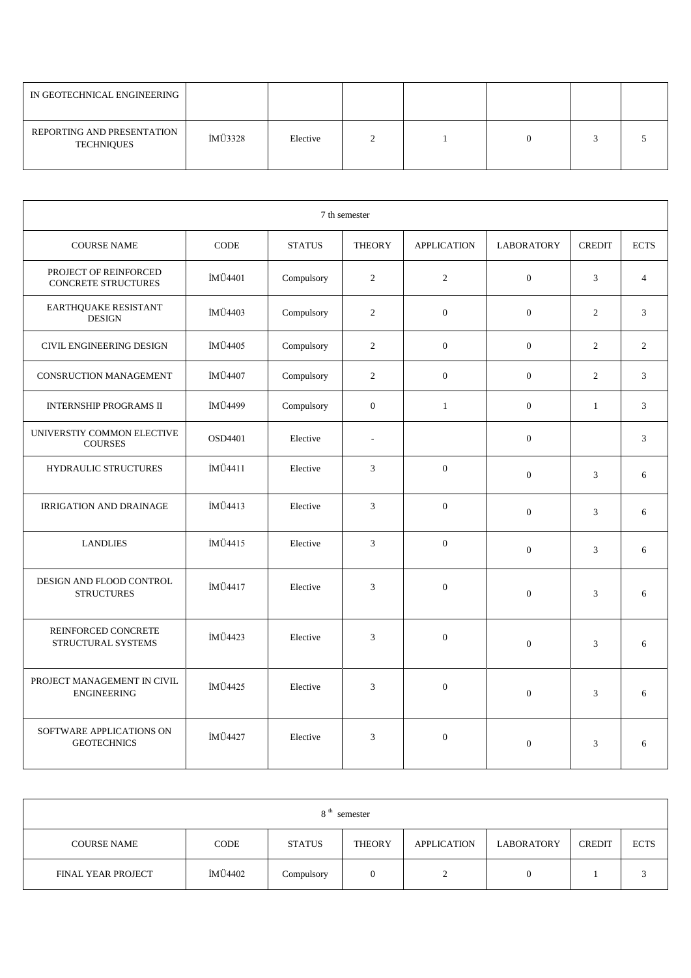| IN GEOTECHNICAL ENGINEERING                     |         |          |  |  |  |
|-------------------------------------------------|---------|----------|--|--|--|
| REPORTING AND PRESENTATION<br><b>TECHNIQUES</b> | İMÜ3328 | Elective |  |  |  |

| 7 th semester                                       |         |               |                |                    |                   |                |                |  |
|-----------------------------------------------------|---------|---------------|----------------|--------------------|-------------------|----------------|----------------|--|
| <b>COURSE NAME</b>                                  | CODE    | <b>STATUS</b> | <b>THEORY</b>  | <b>APPLICATION</b> | <b>LABORATORY</b> | <b>CREDIT</b>  | <b>ECTS</b>    |  |
| PROJECT OF REINFORCED<br><b>CONCRETE STRUCTURES</b> | İMÜ4401 | Compulsory    | $\overline{2}$ | $\mathbf{2}$       | $\boldsymbol{0}$  | 3              | $\overline{4}$ |  |
| EARTHQUAKE RESISTANT<br><b>DESIGN</b>               | İMÜ4403 | Compulsory    | $\overline{2}$ | $\boldsymbol{0}$   | $\boldsymbol{0}$  | $\mathfrak{2}$ | $\mathfrak{Z}$ |  |
| CIVIL ENGINEERING DESIGN                            | İMÜ4405 | Compulsory    | 2              | $\mathbf{0}$       | $\mathbf{0}$      | 2              | $\overline{2}$ |  |
| <b>CONSRUCTION MANAGEMENT</b>                       | İMÜ4407 | Compulsory    | 2              | $\overline{0}$     | $\mathbf{0}$      | 2              | $\overline{3}$ |  |
| <b>INTERNSHIP PROGRAMS II</b>                       | İMÜ4499 | Compulsory    | $\mathbf{0}$   | $\mathbf{1}$       | $\mathbf{0}$      | $\mathbf{1}$   | $\overline{3}$ |  |
| UNIVERSTIY COMMON ELECTIVE<br><b>COURSES</b>        | OSD4401 | Elective      | $\overline{a}$ |                    | $\boldsymbol{0}$  |                | $\mathfrak{Z}$ |  |
| <b>HYDRAULIC STRUCTURES</b>                         | İMÜ4411 | Elective      | 3              | $\overline{0}$     | $\boldsymbol{0}$  | $\mathfrak{Z}$ | 6              |  |
| <b>IRRIGATION AND DRAINAGE</b>                      | İMÜ4413 | Elective      | 3              | $\overline{0}$     | $\overline{0}$    | 3              | 6              |  |
| <b>LANDLIES</b>                                     | İMÜ4415 | Elective      | 3              | $\mathbf{0}$       | $\boldsymbol{0}$  | $\mathfrak{Z}$ | 6              |  |
| DESIGN AND FLOOD CONTROL<br><b>STRUCTURES</b>       | İMÜ4417 | Elective      | 3              | $\overline{0}$     | $\mathbf{0}$      | 3              | 6              |  |
| REINFORCED CONCRETE<br>STRUCTURAL SYSTEMS           | İMÜ4423 | Elective      | 3              | $\mathbf{0}$       | $\overline{0}$    | 3              | 6              |  |
| PROJECT MANAGEMENT IN CIVIL<br><b>ENGINEERING</b>   | İMÜ4425 | Elective      | 3              | $\mathbf{0}$       | $\overline{0}$    | $\mathfrak{Z}$ | 6              |  |
| SOFTWARE APPLICATIONS ON<br><b>GEOTECHNICS</b>      | İMÜ4427 | Elective      | 3              | $\mathbf{0}$       | $\boldsymbol{0}$  | $\mathfrak{Z}$ | 6              |  |

| 8 <sup>th</sup><br>semester |         |               |               |                    |                   |               |             |  |
|-----------------------------|---------|---------------|---------------|--------------------|-------------------|---------------|-------------|--|
| <b>COURSE NAME</b>          | CODE    | <b>STATUS</b> | <b>THEORY</b> | <b>APPLICATION</b> | <b>LABORATORY</b> | <b>CREDIT</b> | <b>ECTS</b> |  |
| <b>FINAL YEAR PROJECT</b>   | İMÜ4402 | Compulsory    | 0             |                    | υ                 |               |             |  |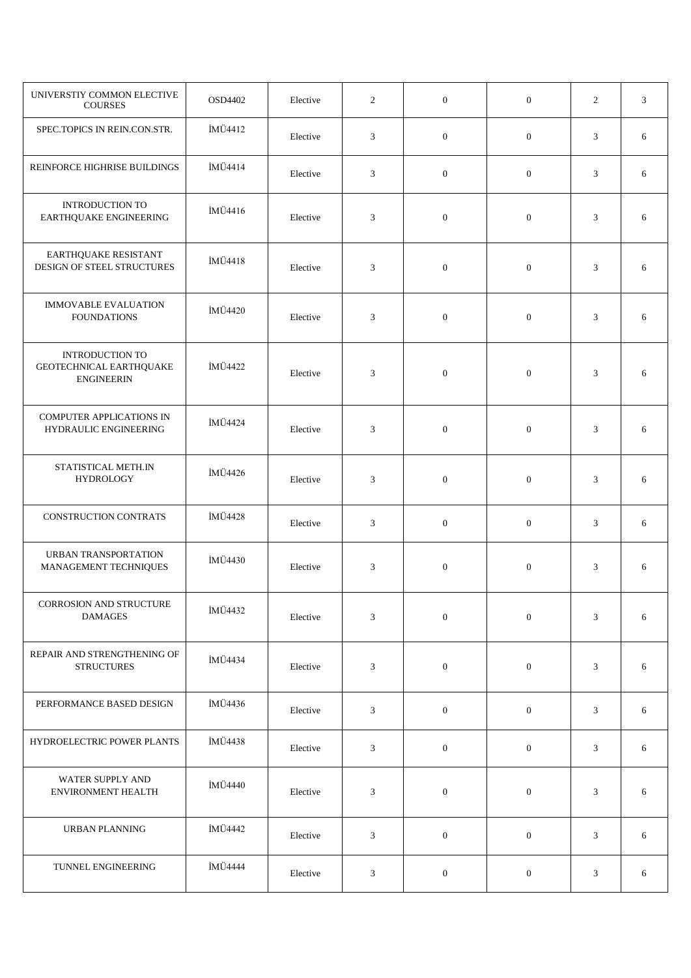| UNIVERSTIY COMMON ELECTIVE<br><b>COURSES</b>                           | OSD4402 | Elective | 2 | $\mathbf{0}$     | $\boldsymbol{0}$ | 2              | $\mathfrak{Z}$ |
|------------------------------------------------------------------------|---------|----------|---|------------------|------------------|----------------|----------------|
| SPEC.TOPICS IN REIN.CON.STR.                                           | İMÜ4412 | Elective | 3 | $\mathbf{0}$     | $\mathbf{0}$     | 3              | 6              |
| REINFORCE HIGHRISE BUILDINGS                                           | İMÜ4414 | Elective | 3 | $\overline{0}$   | $\mathbf{0}$     | 3              | 6              |
| <b>INTRODUCTION TO</b><br>EARTHQUAKE ENGINEERING                       | İMÜ4416 | Elective | 3 | $\overline{0}$   | $\mathbf{0}$     | $\mathfrak{Z}$ | 6              |
| EARTHQUAKE RESISTANT<br>DESIGN OF STEEL STRUCTURES                     | İMÜ4418 | Elective | 3 | $\mathbf{0}$     | $\mathbf{0}$     | 3              | 6              |
| <b>IMMOVABLE EVALUATION</b><br><b>FOUNDATIONS</b>                      | İMÜ4420 | Elective | 3 | $\mathbf{0}$     | $\mathbf{0}$     | $\mathfrak{Z}$ | 6              |
| <b>INTRODUCTION TO</b><br>GEOTECHNICAL EARTHQUAKE<br><b>ENGINEERIN</b> | İMÜ4422 | Elective | 3 | $\mathbf{0}$     | $\mathbf{0}$     | 3              | 6              |
| <b>COMPUTER APPLICATIONS IN</b><br>HYDRAULIC ENGINEERING               | İMÜ4424 | Elective | 3 | $\mathbf{0}$     | $\mathbf{0}$     | 3              | 6              |
| STATISTICAL METH.IN<br><b>HYDROLOGY</b>                                | İMÜ4426 | Elective | 3 | $\mathbf{0}$     | $\mathbf{0}$     | 3              | 6              |
| <b>CONSTRUCTION CONTRATS</b>                                           | İMÜ4428 | Elective | 3 | $\mathbf{0}$     | $\overline{0}$   | 3              | 6              |
| URBAN TRANSPORTATION<br>MANAGEMENT TECHNIQUES                          | İMÜ4430 | Elective | 3 | $\boldsymbol{0}$ | $\mathbf{0}$     | 3              | 6              |
| CORROSION AND STRUCTURE<br><b>DAMAGES</b>                              | İMÜ4432 | Elective | 3 | $\boldsymbol{0}$ | $\mathbf{0}$     | $\mathfrak{Z}$ | 6              |
| REPAIR AND STRENGTHENING OF<br><b>STRUCTURES</b>                       | İMÜ4434 | Elective | 3 | $\boldsymbol{0}$ | $\mathbf{0}$     | 3              | 6              |
| PERFORMANCE BASED DESIGN                                               | İMÜ4436 | Elective | 3 | $\mathbf{0}$     | $\mathbf{0}$     | 3              | 6              |
| HYDROELECTRIC POWER PLANTS                                             | İMÜ4438 | Elective | 3 | $\mathbf{0}$     | $\mathbf{0}$     | 3              | 6              |
| WATER SUPPLY AND<br><b>ENVIRONMENT HEALTH</b>                          | İMÜ4440 | Elective | 3 | $\boldsymbol{0}$ | $\mathbf{0}$     | 3              | 6              |
| <b>URBAN PLANNING</b>                                                  | İMÜ4442 | Elective | 3 | $\mathbf{0}$     | $\mathbf{0}$     | 3              | 6              |
| TUNNEL ENGINEERING                                                     | İMÜ4444 | Elective | 3 | $\boldsymbol{0}$ | $\mathbf{0}$     | 3              | 6              |